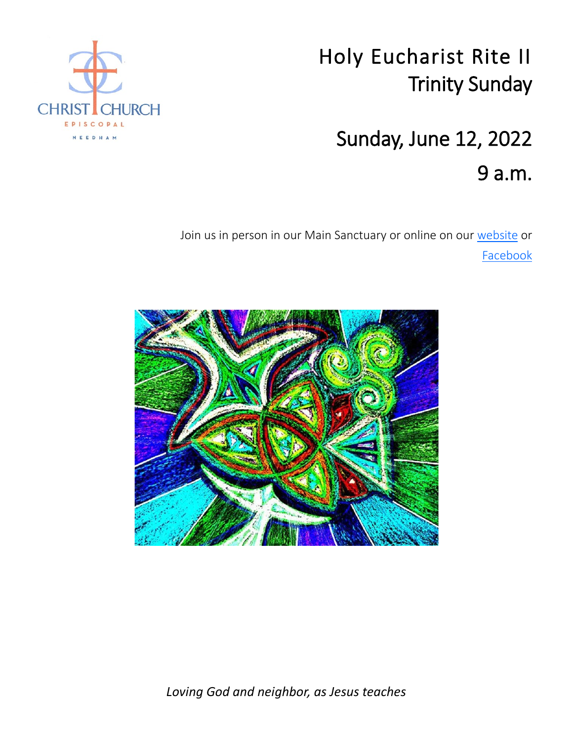# Holy Eucharist Rite II Trinity Sunday

# Sunday, June 12, 2022 9 a.m.

Join us in person in our Main Sanctuary or online on our [website](https://ccneedham.org/) or **[Facebook](https://www.facebook.com/christchurchneedham/)** 





*Loving God and neighbor, as Jesus teaches*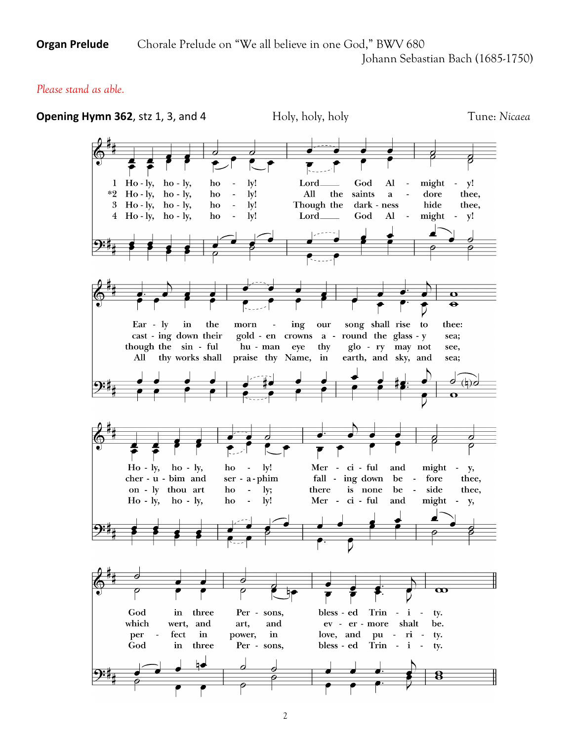**Organ Prelude** Chorale Prelude on "We all believe in one God," BWV 680

Johann Sebastian Bach (1685-1750)

# *Please stand as able.*

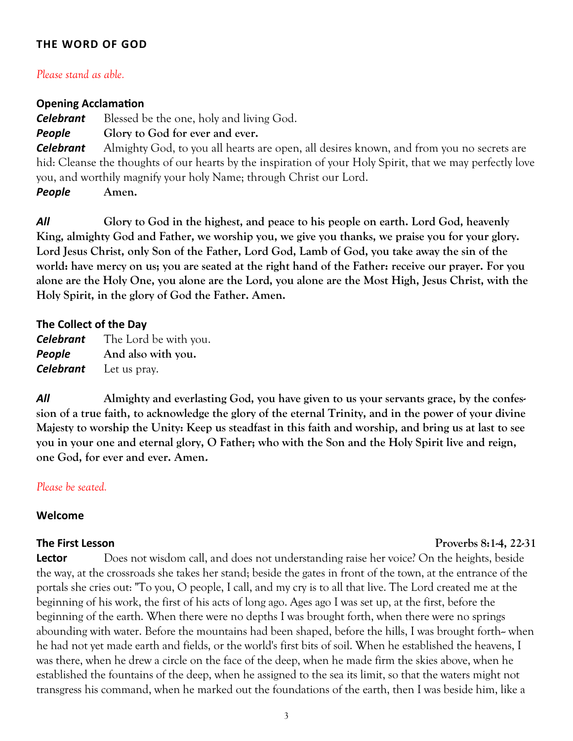# **THE WORD OF GOD**

#### *Please stand as able.*

#### **Opening Acclamation**

**Celebrant** Blessed be the one, holy and living God.

*People* **Glory to God for ever and ever.**

*Celebrant* Almighty God, to you all hearts are open, all desires known, and from you no secrets are hid: Cleanse the thoughts of our hearts by the inspiration of your Holy Spirit, that we may perfectly love you, and worthily magnify your holy Name; through Christ our Lord.

*People* **Amen.**

*All* **Glory to God in the highest, and peace to his people on earth. Lord God, heavenly King, almighty God and Father, we worship you, we give you thanks, we praise you for your glory. Lord Jesus Christ, only Son of the Father, Lord God, Lamb of God, you take away the sin of the world: have mercy on us; you are seated at the right hand of the Father: receive our prayer. For you alone are the Holy One, you alone are the Lord, you alone are the Most High, Jesus Christ, with the Holy Spirit, in the glory of God the Father. Amen.** 

#### **The Collect of the Day**

| <b>Celebrant</b> | The Lord be with you. |
|------------------|-----------------------|
| People           | And also with you.    |
| <b>Celebrant</b> | Let us pray.          |

*All* **Almighty and everlasting God, you have given to us your servants grace, by the confession of a true faith, to acknowledge the glory of the eternal Trinity, and in the power of your divine Majesty to worship the Unity: Keep us steadfast in this faith and worship, and bring us at last to see you in your one and eternal glory, O Father; who with the Son and the Holy Spirit live and reign, one God, for ever and ever. Amen.**

# *Please be seated.*

#### **Welcome**

**The First Lesson** *Proverbs 8:1-4, 22-31* 

**Lector** Does not wisdom call, and does not understanding raise her voice? On the heights, beside the way, at the crossroads she takes her stand; beside the gates in front of the town, at the entrance of the portals she cries out: "To you, O people, I call, and my cry is to all that live. The Lord created me at the beginning of his work, the first of his acts of long ago. Ages ago I was set up, at the first, before the beginning of the earth. When there were no depths I was brought forth, when there were no springs abounding with water. Before the mountains had been shaped, before the hills, I was brought forth-- when he had not yet made earth and fields, or the world's first bits of soil. When he established the heavens, I was there, when he drew a circle on the face of the deep, when he made firm the skies above, when he established the fountains of the deep, when he assigned to the sea its limit, so that the waters might not transgress his command, when he marked out the foundations of the earth, then I was beside him, like a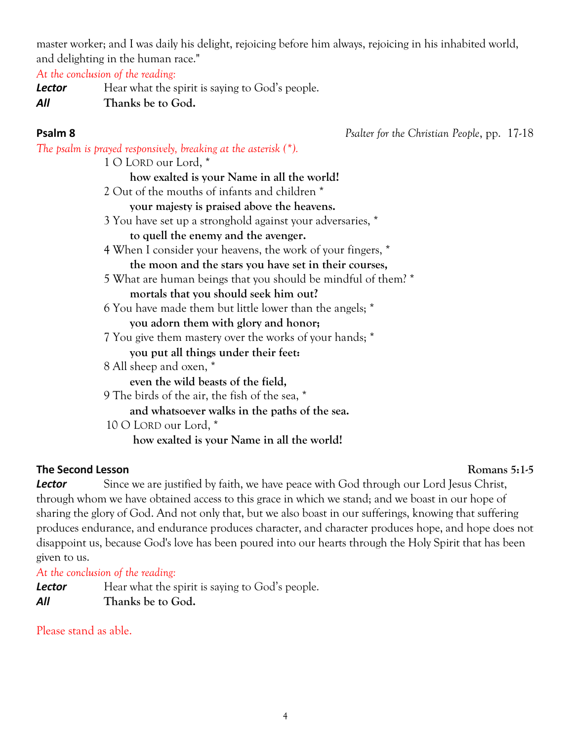master worker; and I was daily his delight, rejoicing before him always, rejoicing in his inhabited world, and delighting in the human race."

*At the conclusion of the reading:*

**Lector** Hear what the spirit is saying to God's people. *All* **Thanks be to God.**

**Psalm 8** *Psalter for the Christian People*, pp. 17-18

*The psalm is prayed responsively, breaking at the asterisk (\*).* 1 O LORD our Lord, \* **how exalted is your Name in all the world!** 2 Out of the mouths of infants and children \* **your majesty is praised above the heavens.** 3 You have set up a stronghold against your adversaries, \* **to quell the enemy and the avenger.** 4 When I consider your heavens, the work of your fingers, \* **the moon and the stars you have set in their courses,** 5 What are human beings that you should be mindful of them? \* **mortals that you should seek him out?** 6 You have made them but little lower than the angels; \* **you adorn them with glory and honor;** 7 You give them mastery over the works of your hands; \* **you put all things under their feet:** 8 All sheep and oxen, \* **even the wild beasts of the field,** 9 The birds of the air, the fish of the sea, \* **and whatsoever walks in the paths of the sea.** 10 O LORD our Lord, \* **how exalted is your Name in all the world!**

# **The Second Lesson Romans 5:1-5**

**Lector** Since we are justified by faith, we have peace with God through our Lord Jesus Christ, through whom we have obtained access to this grace in which we stand; and we boast in our hope of sharing the glory of God. And not only that, but we also boast in our sufferings, knowing that suffering produces endurance, and endurance produces character, and character produces hope, and hope does not disappoint us, because God's love has been poured into our hearts through the Holy Spirit that has been given to us.

*At the conclusion of the reading:*

**Lector** Hear what the spirit is saying to God's people. *All* **Thanks be to God.**

Please stand as able.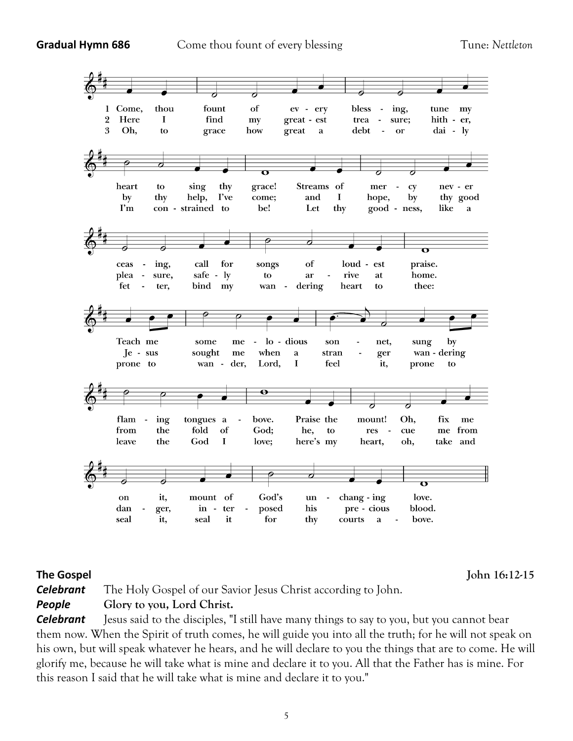**Gradual Hymn 686** Come thou fount of every blessing Tune: *Nettleton* 



**The Gospel John 16:12-15** 

*Celebrant* The Holy Gospel of our Savior Jesus Christ according to John. *People* **Glory to you, Lord Christ.**

*Celebrant* Jesus said to the disciples, "I still have many things to say to you, but you cannot bear them now. When the Spirit of truth comes, he will guide you into all the truth; for he will not speak on his own, but will speak whatever he hears, and he will declare to you the things that are to come. He will glorify me, because he will take what is mine and declare it to you. All that the Father has is mine. For this reason I said that he will take what is mine and declare it to you."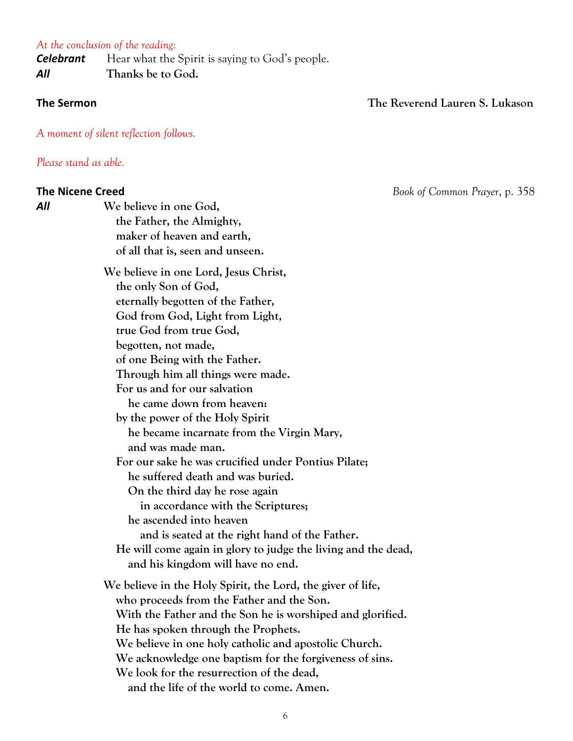#### *At the conclusion of the reading:*

**Celebrant** Hear what the Spirit is saying to God's people. *All* **Thanks be to God***.*

# **The Sermon The Reverend Lauren S. Lukason**

*A moment of silent reflection follows.*

*Please stand as able.*

**The Nicene Creed** *Book of Common Prayer*, p. 358 *All* **We believe in one God, the Father, the Almighty, maker of heaven and earth, of all that is, seen and unseen. We believe in one Lord, Jesus Christ, the only Son of God, eternally begotten of the Father, God from God, Light from Light, true God from true God, begotten, not made, of one Being with the Father. Through him all things were made. For us and for our salvation he came down from heaven: by the power of the Holy Spirit he became incarnate from the Virgin Mary, and was made man. For our sake he was crucified under Pontius Pilate; he suffered death and was buried. On the third day he rose again in accordance with the Scriptures; he ascended into heaven and is seated at the right hand of the Father. He will come again in glory to judge the living and the dead, and his kingdom will have no end. We believe in the Holy Spirit, the Lord, the giver of life, who proceeds from the Father and the Son. With the Father and the Son he is worshiped and glorified. He has spoken through the Prophets. We believe in one holy catholic and apostolic Church. We acknowledge one baptism for the forgiveness of sins. We look for the resurrection of the dead, and the life of the world to come. Amen.**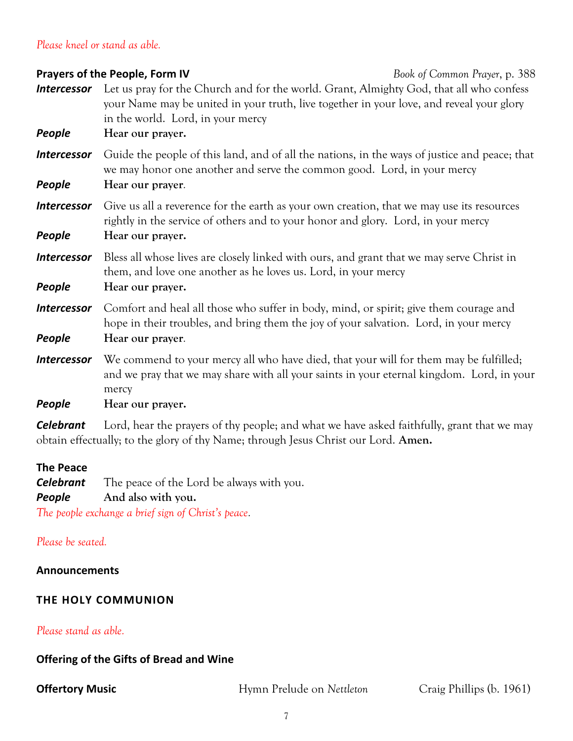# *Please kneel or stand as able.*

# **Prayers of the People, Form IV** *Book of Common Prayer*, p. 388 *Intercessor* Let us pray for the Church and for the world. Grant, Almighty God, that all who confess your Name may be united in your truth, live together in your love, and reveal your glory in the world. Lord, in your mercy *People* **Hear our prayer.** *Intercessor* Guide the people of this land, and of all the nations, in the ways of justice and peace; that we may honor one another and serve the common good. Lord, in your mercy *People* **Hear our prayer***.* **Intercessor** Give us all a reverence for the earth as your own creation, that we may use its resources rightly in the service of others and to your honor and glory. Lord, in your mercy *People* **Hear our prayer. Intercessor** Bless all whose lives are closely linked with ours, and grant that we may serve Christ in them, and love one another as he loves us. Lord, in your mercy *People* **Hear our prayer. Intercessor** Comfort and heal all those who suffer in body, mind, or spirit; give them courage and hope in their troubles, and bring them the joy of your salvation. Lord, in your mercy *People* **Hear our prayer***.* **Intercessor** We commend to your mercy all who have died, that your will for them may be fulfilled; and we pray that we may share with all your saints in your eternal kingdom. Lord, in your mercy *People* **Hear our prayer.**

*Celebrant* Lord, hear the prayers of thy people; and what we have asked faithfully, grant that we may obtain effectually; to the glory of thy Name; through Jesus Christ our Lord. **Amen.**

# **The Peace**

*Celebrant* The peace of the Lord be always with you. *People* **And also with you.**

*The people exchange a brief sign of Christ's peace.*

# *Please be seated.*

# **Announcements**

# **THE HOLY COMMUNION**

# *Please stand as able.*

# **Offering of the Gifts of Bread and Wine**

**Offertory Music Hymn Prelude on** *Nettleton* **Craig Phillips (b. 1961)** Craig Phillips (b. 1961)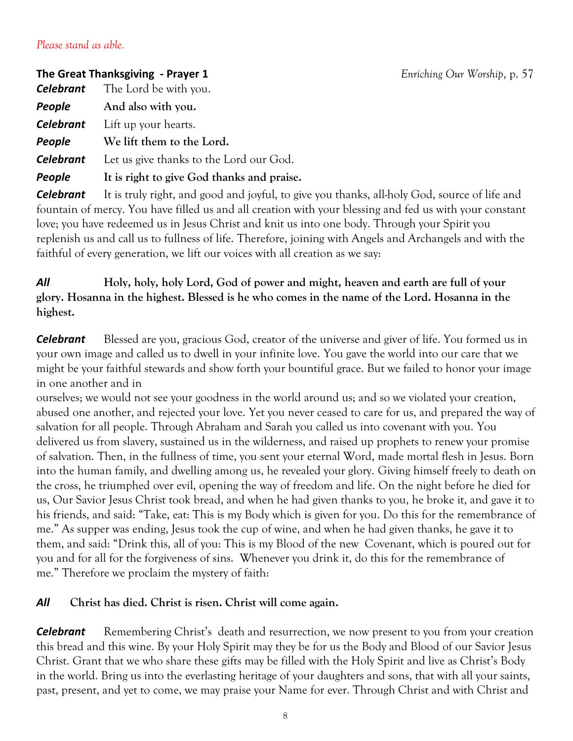# *Please stand as able.*

# **The Great Thanksgiving - Prayer 1** *Enriching Our Worship*, p. 57

*Celebrant* The Lord be with you. *People* **And also with you.** *Celebrant* Lift up your hearts. *People* **We lift them to the Lord.**

*Celebrant* Let us give thanks to the Lord our God.

*People* **It is right to give God thanks and praise.**

*Celebrant* It is truly right, and good and joyful, to give you thanks, all-holy God, source of life and fountain of mercy. You have filled us and all creation with your blessing and fed us with your constant love; you have redeemed us in Jesus Christ and knit us into one body. Through your Spirit you replenish us and call us to fullness of life. Therefore, joining with Angels and Archangels and with the faithful of every generation, we lift our voices with all creation as we say:

# *All* **Holy, holy, holy Lord, God of power and might, heaven and earth are full of your glory. Hosanna in the highest. Blessed is he who comes in the name of the Lord. Hosanna in the highest.**

*Celebrant* Blessed are you, gracious God, creator of the universe and giver of life. You formed us in your own image and called us to dwell in your infinite love. You gave the world into our care that we might be your faithful stewards and show forth your bountiful grace. But we failed to honor your image in one another and in

ourselves; we would not see your goodness in the world around us; and so we violated your creation, abused one another, and rejected your love. Yet you never ceased to care for us, and prepared the way of salvation for all people. Through Abraham and Sarah you called us into covenant with you. You delivered us from slavery, sustained us in the wilderness, and raised up prophets to renew your promise of salvation. Then, in the fullness of time, you sent your eternal Word, made mortal flesh in Jesus. Born into the human family, and dwelling among us, he revealed your glory. Giving himself freely to death on the cross, he triumphed over evil, opening the way of freedom and life. On the night before he died for us, Our Savior Jesus Christ took bread, and when he had given thanks to you, he broke it, and gave it to his friends, and said: "Take, eat: This is my Body which is given for you. Do this for the remembrance of me." As supper was ending, Jesus took the cup of wine, and when he had given thanks, he gave it to them, and said: "Drink this, all of you: This is my Blood of the new Covenant, which is poured out for you and for all for the forgiveness of sins. Whenever you drink it, do this for the remembrance of me." Therefore we proclaim the mystery of faith:

# *All* **Christ has died. Christ is risen. Christ will come again.**

**Celebrant** Remembering Christ's death and resurrection, we now present to you from your creation this bread and this wine. By your Holy Spirit may they be for us the Body and Blood of our Savior Jesus Christ. Grant that we who share these gifts may be filled with the Holy Spirit and live as Christ's Body in the world. Bring us into the everlasting heritage of your daughters and sons, that with all your saints, past, present, and yet to come, we may praise your Name for ever. Through Christ and with Christ and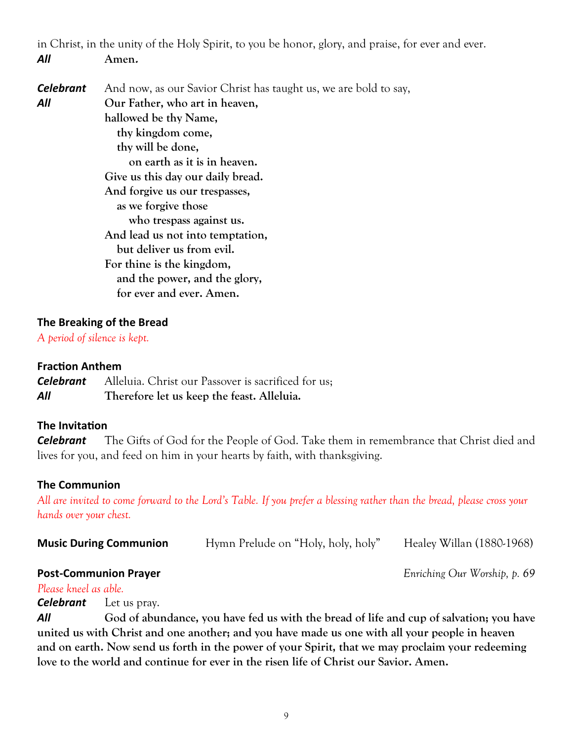in Christ, in the unity of the Holy Spirit, to you be honor, glory, and praise, for ever and ever. *All* **Amen.**

| <b>Celebrant</b> | And now, as our Savior Christ has taught us, we are bold to say, |
|------------------|------------------------------------------------------------------|
| All              | Our Father, who art in heaven,                                   |
|                  | hallowed be thy Name,                                            |
|                  | thy kingdom come,                                                |
|                  | thy will be done,                                                |
|                  | on earth as it is in heaven.                                     |
|                  | Give us this day our daily bread.                                |
|                  | And forgive us our trespasses,                                   |
|                  | as we forgive those                                              |
|                  | who trespass against us.                                         |
|                  | And lead us not into temptation,                                 |
|                  | but deliver us from evil.                                        |
|                  | For thine is the kingdom,                                        |
|                  | and the power, and the glory,                                    |
|                  | for ever and ever. Amen.                                         |

# **The Breaking of the Bread**

*A period of silence is kept.*

# **Fraction Anthem**

*Celebrant* Alleluia. Christ our Passover is sacrificed for us; *All* **Therefore let us keep the feast. Alleluia.**

# **The Invitation**

*Celebrant* The Gifts of God for the People of God. Take them in remembrance that Christ died and lives for you, and feed on him in your hearts by faith, with thanksgiving.

# **The Communion**

*All are invited to come forward to the Lord's Table. If you prefer a blessing rather than the bread, please cross your hands over your chest.*

| <b>Music During Communion</b> | Hymn Prelude on "Holy, holy, holy" | Healey Willan (1880-1968) |
|-------------------------------|------------------------------------|---------------------------|
|                               |                                    |                           |

# **Post-Communion Prayer** *Enriching Our Worship, p. 69*

*Please kneel as able.*

*Celebrant* Let us pray.

*All* **God of abundance, you have fed us with the bread of life and cup of salvation; you have united us with Christ and one another; and you have made us one with all your people in heaven and on earth. Now send us forth in the power of your Spirit, that we may proclaim your redeeming love to the world and continue for ever in the risen life of Christ our Savior. Amen.**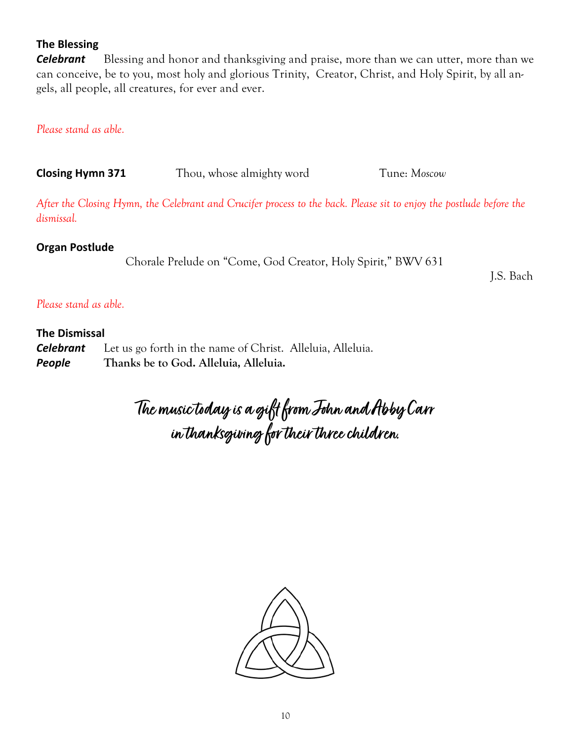# **The Blessing**

*Celebrant* Blessing and honor and thanksgiving and praise, more than we can utter, more than we can conceive, be to you, most holy and glorious Trinity, Creator, Christ, and Holy Spirit, by all angels, all people, all creatures, for ever and ever.

# *Please stand as able.*

**Closing Hymn 371** Thou, whose almighty word Tune: *Moscow* 

*After the Closing Hymn, the Celebrant and Crucifer process to the back. Please sit to enjoy the postlude before the dismissal.* 

# **Organ Postlude**

Chorale Prelude on "Come, God Creator, Holy Spirit," BWV 631

J.S. Bach

# *Please stand as able.*

# **The Dismissal**

| <b>Celebrant</b> | Let us go forth in the name of Christ. Alleluia, Alleluia. |
|------------------|------------------------------------------------------------|
| People           | Thanks be to God. Alleluia, Alleluia.                      |

**The music today is a gift from John and Abby Carr in thanksgiving for their three children.**

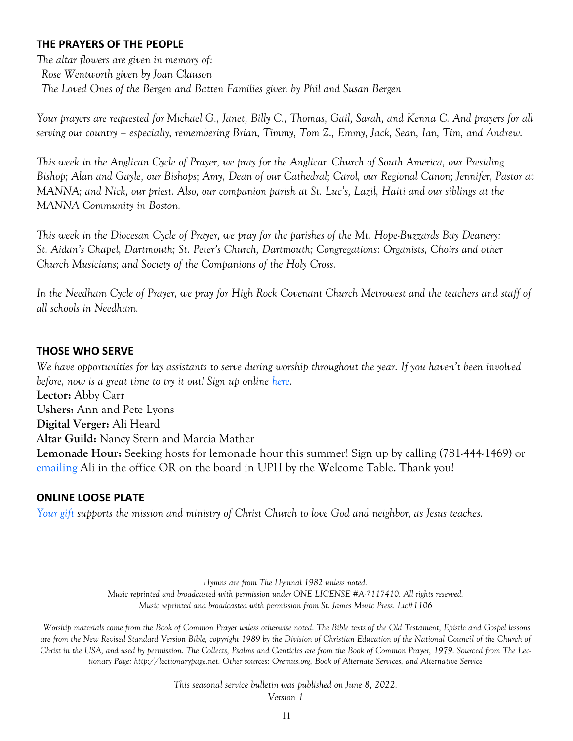# **THE PRAYERS OF THE PEOPLE**

*The altar flowers are given in memory of: Rose Wentworth given by Joan Clauson The Loved Ones of the Bergen and Batten Families given by Phil and Susan Bergen*

*Your prayers are requested for Michael G., Janet, Billy C., Thomas, Gail, Sarah, and Kenna C. And prayers for all serving our country – especially, remembering Brian, Timmy, Tom Z., Emmy, Jack, Sean, Ian, Tim, and Andrew.*

*This week in the Anglican Cycle of Prayer, we pray for the Anglican Church of South America, our Presiding Bishop; Alan and Gayle, our Bishops; Amy, Dean of our Cathedral; Carol, our Regional Canon; Jennifer, Pastor at MANNA; and Nick, our priest. Also, our companion parish at St. Luc's, Lazil, Haiti and our siblings at the MANNA Community in Boston.* 

*This week in the Diocesan Cycle of Prayer, we pray for the parishes of the Mt. Hope-Buzzards Bay Deanery: St. Aidan's Chapel, Dartmouth; St. Peter's Church, Dartmouth; Congregations: Organists, Choirs and other Church Musicians; and Society of the Companions of the Holy Cross.*

*In the Needham Cycle of Prayer, we pray for High Rock Covenant Church Metrowest and the teachers and staff of all schools in Needham.*

# **THOSE WHO SERVE**

*We have opportunities for lay assistants to serve during worship throughout the year. If you haven't been involved before, now is a great time to try it out! Sign up online [here.](https://ccneedham.org/sign-up-for-lay-service/)* **Lector:** Abby Carr **Ushers:** Ann and Pete Lyons **Digital Verger:** Ali Heard **Altar Guild:** Nancy Stern and Marcia Mather **Lemonade Hour:** Seeking hosts for lemonade hour this summer! Sign up by calling (781-444-1469) or [emailing](mailto:office@ccneedham.org?subject=Lemonade%20Hour%20Host) Ali in the office OR on the board in UPH by the Welcome Table. Thank you!

# **ONLINE LOOSE PLATE**

*[Your gift](https://onrealm.org/ccneedham/give/looseplate) supports the mission and ministry of Christ Church to love God and neighbor, as Jesus teaches.*

*Hymns are from The Hymnal 1982 unless noted. Music reprinted and broadcasted with permission under ONE LICENSE #A-7117410. All rights reserved. Music reprinted and broadcasted with permission from St. James Music Press. Lic#1106*

*Worship materials come from the Book of Common Prayer unless otherwise noted. The Bible texts of the Old Testament, Epistle and Gospel lessons are from the New Revised Standard Version Bible, copyright 1989 by the Division of Christian Education of the National Council of the Church of Christ in the USA, and used by permission. The Collects, Psalms and Canticles are from the Book of Common Prayer, 1979. Sourced from The Lectionary Page: http://lectionarypage.net. Other sources: Oremus.org, Book of Alternate Services, and Alternative Service* 

> *This seasonal service bulletin was published on June 8, 2022. Version 1*